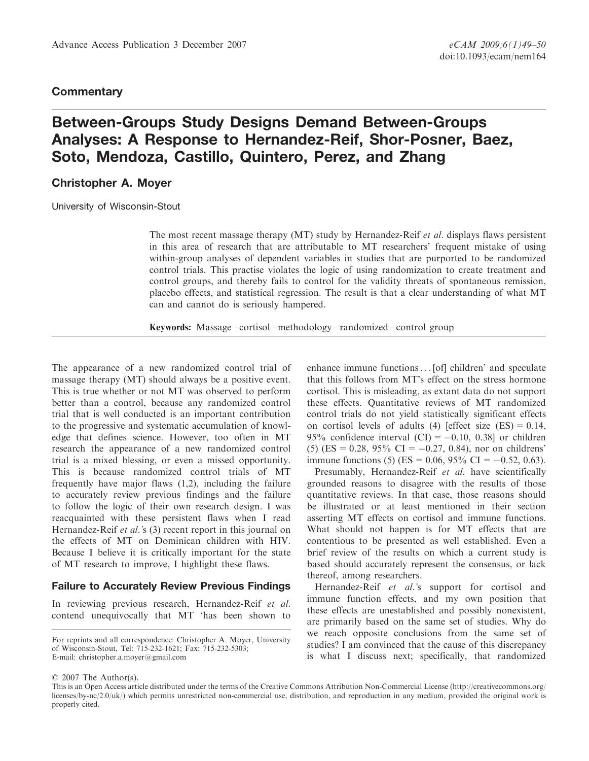#### **Commentary**

# Between-Groups Study Designs Demand Between-Groups Analyses: A Response to Hernandez-Reif, Shor-Posner, Baez, Soto, Mendoza, Castillo, Quintero, Perez, and Zhang

### Christopher A. Moyer

University of Wisconsin-Stout

The most recent massage therapy (MT) study by Hernandez-Reif *et al.* displays flaws persistent in this area of research that are attributable to MT researchers' frequent mistake of using within-group analyses of dependent variables in studies that are purported to be randomized control trials. This practise violates the logic of using randomization to create treatment and control groups, and thereby fails to control for the validity threats of spontaneous remission, placebo effects, and statistical regression. The result is that a clear understanding of what MT can and cannot do is seriously hampered.

Keywords: Massage – cortisol – methodology – randomized – control group

The appearance of a new randomized control trial of massage therapy (MT) should always be a positive event. This is true whether or not MT was observed to perform better than a control, because any randomized control trial that is well conducted is an important contribution to the progressive and systematic accumulation of knowledge that defines science. However, too often in MT research the appearance of a new randomized control trial is a mixed blessing, or even a missed opportunity. This is because randomized control trials of MT frequently have major flaws (1,2), including the failure to accurately review previous findings and the failure to follow the logic of their own research design. I was reacquainted with these persistent flaws when I read Hernandez-Reif *et al.*'s (3) recent report in this journal on the effects of MT on Dominican children with HIV. Because I believe it is critically important for the state of MT research to improve, I highlight these flaws.

#### Failure to Accurately Review Previous Findings

In reviewing previous research, Hernandez-Reif et al. contend unequivocally that MT 'has been shown to cortisol. This is misleading, as extant data do not support these effects. Quantitative reviews of MT randomized control trials do not yield statistically significant effects on cortisol levels of adults (4) [effect size  $(ES) = 0.14$ , 95% confidence interval  $(CI) = -0.10, 0.38$  or children (5) (ES = 0.28, 95% CI = -0.27, 0.84), nor on childrens' immune functions (5) (ES = 0.06, 95% CI = -0.52, 0.63). Presumably, Hernandez-Reif et al. have scientifically grounded reasons to disagree with the results of those

enhance immune functions... [of] children' and speculate that this follows from MT's effect on the stress hormone

quantitative reviews. In that case, those reasons should be illustrated or at least mentioned in their section asserting MT effects on cortisol and immune functions. What should not happen is for MT effects that are contentious to be presented as well established. Even a brief review of the results on which a current study is based should accurately represent the consensus, or lack thereof, among researchers.

Hernandez-Reif et al.'s support for cortisol and immune function effects, and my own position that these effects are unestablished and possibly nonexistent, are primarily based on the same set of studies. Why do we reach opposite conclusions from the same set of studies? I am convinced that the cause of this discrepancy is what I discuss next; specifically, that randomized

For reprints and all correspondence: Christopher A. Moyer, University of Wisconsin-Stout, Tel: 715-232-1621; Fax: 715-232-5303; E-mail: christopher.a.moyer@gmail.com

2007 The Author(s).

This is an Open Access article distributed under the terms of the Creative Commons Attribution Non-Commercial License (<http://creativecommons.org/> licenses/by-nc/2.0/uk/) which permits unrestricted non-commercial use, distribution, and reproduction in any medium, provided the original work is properly cited.